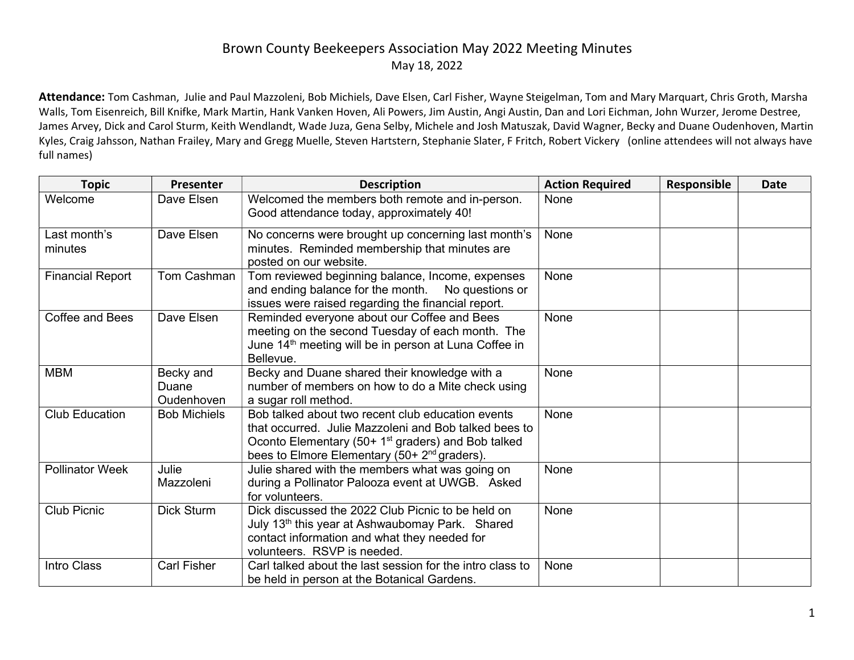## Brown County Beekeepers Association May 2022 Meeting Minutes May 18, 2022

Attendance: Tom Cashman, Julie and Paul Mazzoleni, Bob Michiels, Dave Elsen, Carl Fisher, Wayne Steigelman, Tom and Mary Marquart, Chris Groth, Marsha Walls, Tom Eisenreich, Bill Knifke, Mark Martin, Hank Vanken Hoven, Ali Powers, Jim Austin, Angi Austin, Dan and Lori Eichman, John Wurzer, Jerome Destree, James Arvey, Dick and Carol Sturm, Keith Wendlandt, Wade Juza, Gena Selby, Michele and Josh Matuszak, David Wagner, Becky and Duane Oudenhoven, Martin Kyles, Craig Jahsson, Nathan Frailey, Mary and Gregg Muelle, Steven Hartstern, Stephanie Slater, F Fritch, Robert Vickery (online attendees will not always have full names)

| <b>Topic</b>            | Presenter                        | <b>Description</b>                                                                                                                                                                                                                       | <b>Action Required</b> | Responsible | <b>Date</b> |
|-------------------------|----------------------------------|------------------------------------------------------------------------------------------------------------------------------------------------------------------------------------------------------------------------------------------|------------------------|-------------|-------------|
| Welcome                 | Dave Elsen                       | Welcomed the members both remote and in-person.<br>Good attendance today, approximately 40!                                                                                                                                              | None                   |             |             |
| Last month's<br>minutes | Dave Elsen                       | No concerns were brought up concerning last month's<br>minutes. Reminded membership that minutes are<br>posted on our website.                                                                                                           | None                   |             |             |
| <b>Financial Report</b> | Tom Cashman                      | Tom reviewed beginning balance, Income, expenses<br>and ending balance for the month. No questions or<br>issues were raised regarding the financial report.                                                                              | None                   |             |             |
| Coffee and Bees         | Dave Elsen                       | Reminded everyone about our Coffee and Bees<br>meeting on the second Tuesday of each month. The<br>June 14 <sup>th</sup> meeting will be in person at Luna Coffee in<br>Bellevue.                                                        | None                   |             |             |
| <b>MBM</b>              | Becky and<br>Duane<br>Oudenhoven | Becky and Duane shared their knowledge with a<br>number of members on how to do a Mite check using<br>a sugar roll method.                                                                                                               | None                   |             |             |
| <b>Club Education</b>   | <b>Bob Michiels</b>              | Bob talked about two recent club education events<br>that occurred. Julie Mazzoleni and Bob talked bees to<br>Oconto Elementary (50+ 1 <sup>st</sup> graders) and Bob talked<br>bees to Elmore Elementary (50+ 2 <sup>nd</sup> graders). | None                   |             |             |
| <b>Pollinator Week</b>  | Julie<br>Mazzoleni               | Julie shared with the members what was going on<br>during a Pollinator Palooza event at UWGB. Asked<br>for volunteers.                                                                                                                   | None                   |             |             |
| <b>Club Picnic</b>      | <b>Dick Sturm</b>                | Dick discussed the 2022 Club Picnic to be held on<br>July 13 <sup>th</sup> this year at Ashwaubomay Park. Shared<br>contact information and what they needed for<br>volunteers. RSVP is needed.                                          | None                   |             |             |
| Intro Class             | <b>Carl Fisher</b>               | Carl talked about the last session for the intro class to<br>be held in person at the Botanical Gardens.                                                                                                                                 | None                   |             |             |